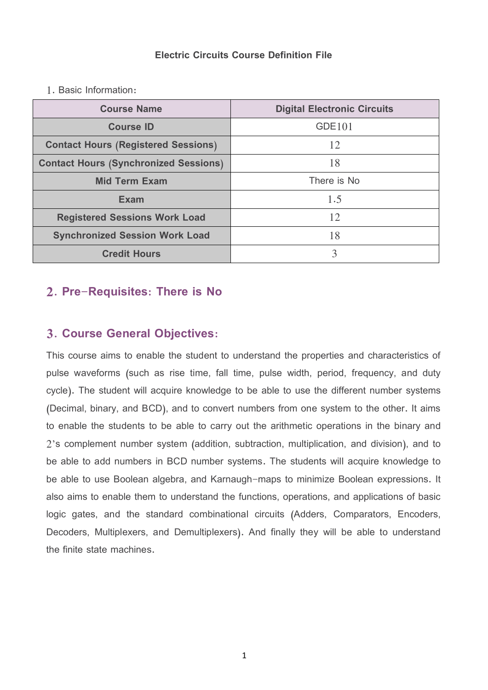#### **Electric Circuits Course Definition File**

1. Basic Information:

| <b>Course Name</b>                           | <b>Digital Electronic Circuits</b> |  |  |  |  |
|----------------------------------------------|------------------------------------|--|--|--|--|
| <b>Course ID</b>                             | GDE101                             |  |  |  |  |
| <b>Contact Hours (Registered Sessions)</b>   | 12                                 |  |  |  |  |
| <b>Contact Hours (Synchronized Sessions)</b> | 18                                 |  |  |  |  |
| <b>Mid Term Exam</b>                         | There is No.                       |  |  |  |  |
| <b>Exam</b>                                  | 1.5                                |  |  |  |  |
| <b>Registered Sessions Work Load</b>         | 12                                 |  |  |  |  |
| <b>Synchronized Session Work Load</b>        | 18                                 |  |  |  |  |
| <b>Credit Hours</b>                          | 3                                  |  |  |  |  |

### **2. Pre-Requisites: There is No**

### **3. Course General Objectives:**

This course aims to enable the student to understand the properties and characteristics of pulse waveforms (such as rise time, fall time, pulse width, period, frequency, and duty cycle). The student will acquire knowledge to be able to use the different number systems (Decimal, binary, and BCD), and to convert numbers from one system to the other. It aims to enable the students to be able to carry out the arithmetic operations in the binary and 2's complement number system (addition, subtraction, multiplication, and division), and to be able to add numbers in BCD number systems. The students will acquire knowledge to be able to use Boolean algebra, and Karnaugh-maps to minimize Boolean expressions. It also aims to enable them to understand the functions, operations, and applications of basic logic gates, and the standard combinational circuits (Adders, Comparators, Encoders, Decoders, Multiplexers, and Demultiplexers). And finally they will be able to understand the finite state machines.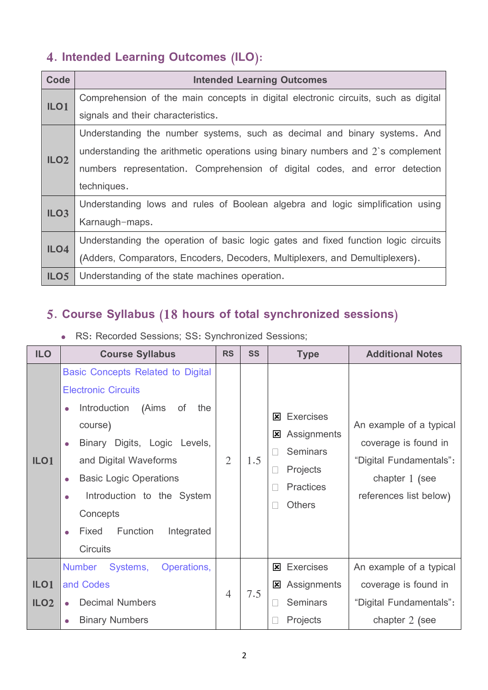## **4. Intended Learning Outcomes (ILO):**

| <b>Code</b>      | <b>Intended Learning Outcomes</b>                                                  |
|------------------|------------------------------------------------------------------------------------|
| ILO <sub>1</sub> | Comprehension of the main concepts in digital electronic circuits, such as digital |
|                  | signals and their characteristics.                                                 |
|                  | Understanding the number systems, such as decimal and binary systems. And          |
| ILO <sub>2</sub> | understanding the arithmetic operations using binary numbers and $2$ 's complement |
|                  | numbers representation. Comprehension of digital codes, and error detection        |
|                  | techniques.                                                                        |
| ILO <sub>3</sub> | Understanding lows and rules of Boolean algebra and logic simplification using     |
|                  | Karnaugh-maps.                                                                     |
| ILO4             | Understanding the operation of basic logic gates and fixed function logic circuits |
|                  | (Adders, Comparators, Encoders, Decoders, Multiplexers, and Demultiplexers).       |
| ILO <sub>5</sub> | Understanding of the state machines operation.                                     |

### **5. Course Syllabus (18 hours of total synchronized sessions)**

RS: Recorded Sessions; SS: Synchronized Sessions;

| <b>ILO</b>                           | <b>Course Syllabus</b>                                                                                                                                                                                                                                                                                                                                                | <b>RS</b>      | <b>SS</b> | <b>Type</b>                                                                                                             | <b>Additional Notes</b>                                                                                                  |
|--------------------------------------|-----------------------------------------------------------------------------------------------------------------------------------------------------------------------------------------------------------------------------------------------------------------------------------------------------------------------------------------------------------------------|----------------|-----------|-------------------------------------------------------------------------------------------------------------------------|--------------------------------------------------------------------------------------------------------------------------|
| ILO <sub>1</sub>                     | <b>Basic Concepts Related to Digital</b><br><b>Electronic Circuits</b><br>(Aims<br>Introduction<br>of<br>the<br>$\bullet$<br>course)<br>Binary Digits, Logic Levels,<br>$\bullet$<br>and Digital Waveforms<br><b>Basic Logic Operations</b><br>$\bullet$<br>Introduction to the System<br>Concepts<br>Function<br>Fixed<br>Integrated<br>$\bullet$<br><b>Circuits</b> | $\overline{2}$ | 1.5       | <b>Exercises</b><br>$\mathbf x$<br>Assignments<br>⊠<br><b>Seminars</b><br>Projects<br><b>Practices</b><br><b>Others</b> | An example of a typical<br>coverage is found in<br>"Digital Fundamentals":<br>chapter $1$ (see<br>references list below) |
| ILO <sub>1</sub><br>ILO <sub>2</sub> | <b>Number</b><br>Systems,<br>Operations,<br>and Codes<br><b>Decimal Numbers</b><br><b>Binary Numbers</b>                                                                                                                                                                                                                                                              | $\overline{4}$ | 7.5       | <b>Exercises</b><br>$\mathbf{x}$<br>Assignments<br>⊠<br><b>Seminars</b><br>Projects                                     | An example of a typical<br>coverage is found in<br>"Digital Fundamentals":<br>chapter 2 (see                             |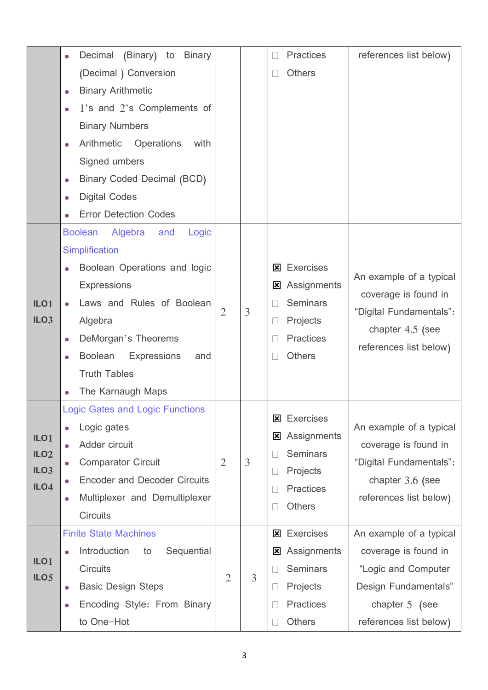|                                      | (Binary) to<br>Decimal<br><b>Binary</b><br>$\bullet$     |                |   | <b>Practices</b><br>$\Box$ | references list below)  |  |  |
|--------------------------------------|----------------------------------------------------------|----------------|---|----------------------------|-------------------------|--|--|
|                                      | (Decimal) Conversion                                     |                |   | <b>Others</b><br>$\Box$    |                         |  |  |
|                                      | <b>Binary Arithmetic</b><br>$\bullet$                    |                |   |                            |                         |  |  |
|                                      | 1's and 2's Complements of<br>$\bullet$                  |                |   |                            |                         |  |  |
|                                      | <b>Binary Numbers</b>                                    |                |   |                            |                         |  |  |
|                                      | Arithmetic<br>Operations<br>with<br>$\bullet$            |                |   |                            |                         |  |  |
|                                      | Signed umbers                                            |                |   |                            |                         |  |  |
|                                      | <b>Binary Coded Decimal (BCD)</b><br>$\bullet$           |                |   |                            |                         |  |  |
|                                      | <b>Digital Codes</b><br>$\bullet$                        |                |   |                            |                         |  |  |
|                                      | <b>Error Detection Codes</b>                             |                |   |                            |                         |  |  |
|                                      | <b>Boolean</b><br>Algebra<br>and<br>Logic                |                |   |                            |                         |  |  |
|                                      | <b>Simplification</b>                                    |                |   |                            |                         |  |  |
|                                      | Boolean Operations and logic                             |                |   | <b>Exercises</b><br>⊠      | An example of a typical |  |  |
|                                      | <b>Expressions</b>                                       |                |   | Assignments<br>⊠           | coverage is found in    |  |  |
| ILO <sub>1</sub>                     | Laws and Rules of Boolean                                | $\mathfrak{2}$ | 3 | <b>Seminars</b>            | "Digital Fundamentals": |  |  |
| ILO <sub>3</sub>                     | Algebra                                                  |                |   | Projects<br>$\Box$         |                         |  |  |
|                                      | DeMorgan's Theorems<br>$\bullet$                         |                |   | <b>Practices</b><br>$\Box$ | chapter $4,5$ (see      |  |  |
|                                      | <b>Boolean</b><br><b>Expressions</b><br>and<br>$\bullet$ |                |   | <b>Others</b>              | references list below)  |  |  |
|                                      | <b>Truth Tables</b>                                      |                |   |                            |                         |  |  |
|                                      | The Karnaugh Maps                                        |                |   |                            |                         |  |  |
|                                      | <b>Logic Gates and Logic Functions</b>                   |                |   | <b>Exercises</b><br>図      |                         |  |  |
|                                      | Logic gates                                              |                |   | Assignments<br>図           | An example of a typical |  |  |
| ILO <sub>1</sub><br>ILO <sub>2</sub> | Adder circuit<br>$\bullet$                               |                |   | <b>Seminars</b><br>$\Box$  | coverage is found in    |  |  |
| ILO <sub>3</sub>                     | <b>Comparator Circuit</b><br>$\bullet$                   | $\overline{2}$ | 3 | Projects<br>$\Box$         | "Digital Fundamentals": |  |  |
| ILO4                                 | <b>Encoder and Decoder Circuits</b>                      |                |   | <b>Practices</b><br>$\Box$ | chapter 3,6 (see        |  |  |
|                                      | Multiplexer and Demultiplexer<br>$\bullet$               |                |   | <b>Others</b>              | references list below)  |  |  |
|                                      | <b>Circuits</b>                                          |                |   |                            |                         |  |  |
|                                      | <b>Finite State Machines</b>                             |                |   | <b>Exercises</b><br>図      | An example of a typical |  |  |
|                                      | Sequential<br>Introduction<br>to<br>$\bullet$            |                |   | Assignments<br>図           | coverage is found in    |  |  |
| ILO <sub>1</sub><br>ILO <sub>5</sub> | <b>Circuits</b>                                          | $\overline{2}$ | 3 | <b>Seminars</b><br>$\Box$  | "Logic and Computer     |  |  |
|                                      | <b>Basic Design Steps</b><br>$\bullet$                   |                |   | Projects<br>$\Box$         | Design Fundamentals"    |  |  |
|                                      | Encoding Style: From Binary<br>$\bullet$                 |                |   | <b>Practices</b><br>$\Box$ | chapter $5$ (see        |  |  |
|                                      | to One-Hot                                               |                |   | <b>Others</b>              | references list below)  |  |  |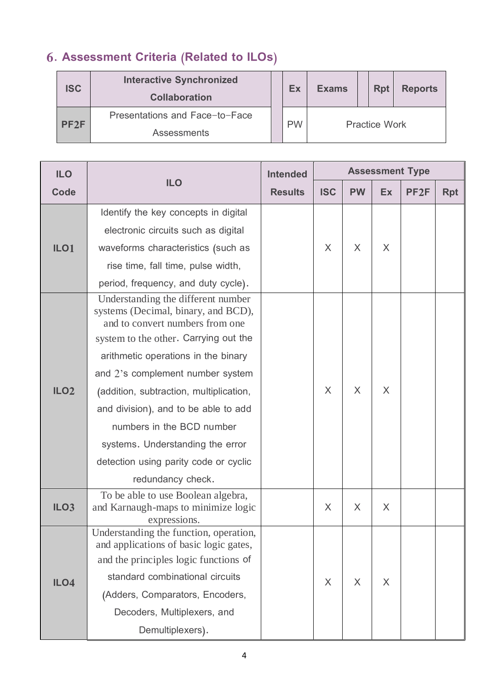# **6. Assessment Criteria (Related to ILOs)**

| <b>ISC</b>       | <b>Interactive Synchronized</b><br><b>Collaboration</b> |           | Ex | <b>Exams</b>         |  | <b>Rpt</b> | <b>Reports</b> |
|------------------|---------------------------------------------------------|-----------|----|----------------------|--|------------|----------------|
| PF <sub>2F</sub> | Presentations and Face-to-Face                          |           |    | <b>Practice Work</b> |  |            |                |
|                  | <b>Assessments</b>                                      | <b>PW</b> |    |                      |  |            |                |

| <b>ILO</b>       |                                                                                                                                                                                                                                                                                                                                                                                                                                                    | <b>Intended</b> | <b>Assessment Type</b> |           |           |                  |            |  |
|------------------|----------------------------------------------------------------------------------------------------------------------------------------------------------------------------------------------------------------------------------------------------------------------------------------------------------------------------------------------------------------------------------------------------------------------------------------------------|-----------------|------------------------|-----------|-----------|------------------|------------|--|
| <b>Code</b>      | <b>ILO</b>                                                                                                                                                                                                                                                                                                                                                                                                                                         | <b>Results</b>  | <b>ISC</b>             | <b>PW</b> | <b>Ex</b> | PF <sub>2F</sub> | <b>Rpt</b> |  |
|                  | Identify the key concepts in digital                                                                                                                                                                                                                                                                                                                                                                                                               |                 |                        |           |           |                  |            |  |
|                  | electronic circuits such as digital                                                                                                                                                                                                                                                                                                                                                                                                                |                 |                        |           |           |                  |            |  |
| ILO <sub>1</sub> | waveforms characteristics (such as                                                                                                                                                                                                                                                                                                                                                                                                                 |                 | X                      | $\chi$    | X         |                  |            |  |
|                  | rise time, fall time, pulse width,                                                                                                                                                                                                                                                                                                                                                                                                                 |                 |                        |           |           |                  |            |  |
|                  | period, frequency, and duty cycle).                                                                                                                                                                                                                                                                                                                                                                                                                |                 |                        |           |           |                  |            |  |
| ILO <sub>2</sub> | Understanding the different number<br>systems (Decimal, binary, and BCD),<br>and to convert numbers from one<br>system to the other. Carrying out the<br>arithmetic operations in the binary<br>and 2's complement number system<br>(addition, subtraction, multiplication,<br>and division), and to be able to add<br>numbers in the BCD number<br>systems. Understanding the error<br>detection using parity code or cyclic<br>redundancy check. |                 | X                      | X         | X         |                  |            |  |
| ILO <sub>3</sub> | To be able to use Boolean algebra,<br>and Karnaugh-maps to minimize logic<br>expressions.                                                                                                                                                                                                                                                                                                                                                          |                 | X                      | $\times$  | X         |                  |            |  |
| ILO4             | Understanding the function, operation,<br>and applications of basic logic gates,<br>and the principles logic functions of<br>standard combinational circuits<br>(Adders, Comparators, Encoders,<br>Decoders, Multiplexers, and<br>Demultiplexers).                                                                                                                                                                                                 |                 | X                      | $\times$  | $\times$  |                  |            |  |